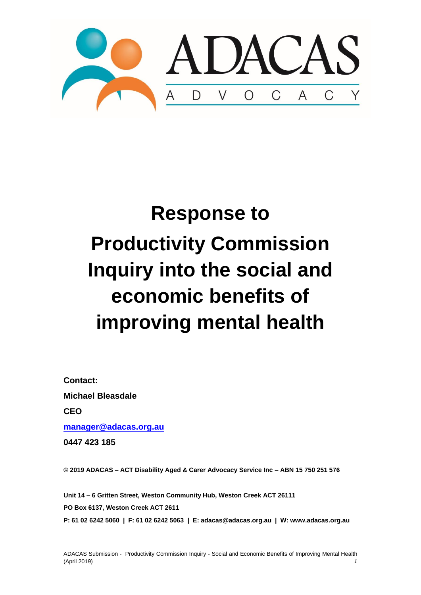

# **Response to Productivity Commission Inquiry into the social and economic benefits of improving mental health**

**Contact: Michael Bleasdale CEO [manager@adacas.org.au](mailto:manager@adacas.org.au) 0447 423 185**

**© 2019 ADACAS – ACT Disability Aged & Carer Advocacy Service Inc – ABN 15 750 251 576**

**Unit 14 – 6 Gritten Street, Weston Community Hub, Weston Creek ACT 26111 PO Box 6137, Weston Creek ACT 2611 P: 61 02 6242 5060 | F: 61 02 6242 5063 | E: adacas@adacas.org.au | W: www.adacas.org.au**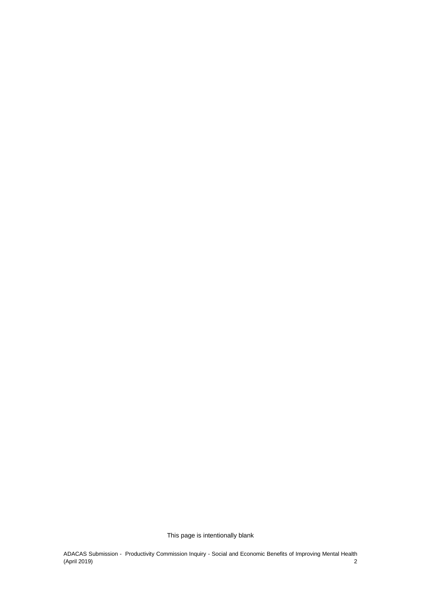This page is intentionally blank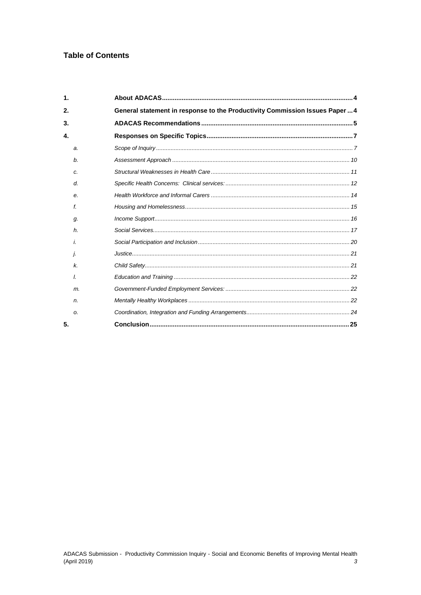# **Table of Contents**

| 1.             |                                                                              |  |
|----------------|------------------------------------------------------------------------------|--|
| 2.             | General statement in response to the Productivity Commission Issues Paper  4 |  |
| 3.             |                                                                              |  |
| 4.             |                                                                              |  |
| $a$ .          |                                                                              |  |
| b.             |                                                                              |  |
| C.             |                                                                              |  |
| d.             |                                                                              |  |
| е.             |                                                                              |  |
| $f_{\cdot}$    |                                                                              |  |
| g.             |                                                                              |  |
| h <sub>1</sub> |                                                                              |  |
| i.             |                                                                              |  |
| j.             |                                                                              |  |
| k.             |                                                                              |  |
| Ι.             |                                                                              |  |
| m.             |                                                                              |  |
| n.             |                                                                              |  |
| 0.             |                                                                              |  |
| 5.             |                                                                              |  |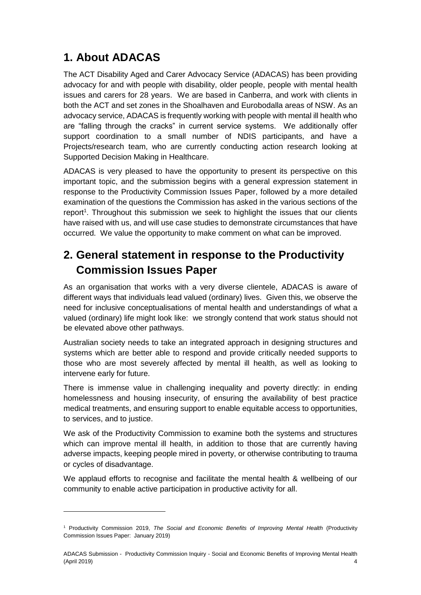# <span id="page-3-0"></span>**1. About ADACAS**

The ACT Disability Aged and Carer Advocacy Service (ADACAS) has been providing advocacy for and with people with disability, older people, people with mental health issues and carers for 28 years. We are based in Canberra, and work with clients in both the ACT and set zones in the Shoalhaven and Eurobodalla areas of NSW. As an advocacy service, ADACAS is frequently working with people with mental ill health who are "falling through the cracks" in current service systems. We additionally offer support coordination to a small number of NDIS participants, and have a Projects/research team, who are currently conducting action research looking at Supported Decision Making in Healthcare.

ADACAS is very pleased to have the opportunity to present its perspective on this important topic, and the submission begins with a general expression statement in response to the Productivity Commission Issues Paper, followed by a more detailed examination of the questions the Commission has asked in the various sections of the report<sup>1</sup>. Throughout this submission we seek to highlight the issues that our clients have raised with us, and will use case studies to demonstrate circumstances that have occurred. We value the opportunity to make comment on what can be improved.

# <span id="page-3-1"></span>**2. General statement in response to the Productivity Commission Issues Paper**

As an organisation that works with a very diverse clientele, ADACAS is aware of different ways that individuals lead valued (ordinary) lives. Given this, we observe the need for inclusive conceptualisations of mental health and understandings of what a valued (ordinary) life might look like: we strongly contend that work status should not be elevated above other pathways.

Australian society needs to take an integrated approach in designing structures and systems which are better able to respond and provide critically needed supports to those who are most severely affected by mental ill health, as well as looking to intervene early for future.

There is immense value in challenging inequality and poverty directly: in ending homelessness and housing insecurity, of ensuring the availability of best practice medical treatments, and ensuring support to enable equitable access to opportunities, to services, and to justice.

We ask of the Productivity Commission to examine both the systems and structures which can improve mental ill health, in addition to those that are currently having adverse impacts, keeping people mired in poverty, or otherwise contributing to trauma or cycles of disadvantage.

We applaud efforts to recognise and facilitate the mental health & wellbeing of our community to enable active participation in productive activity for all.

<sup>1</sup> Productivity Commission 2019, *The Social and Economic Benefits of Improving Mental Health* (Productivity Commission Issues Paper: January 2019)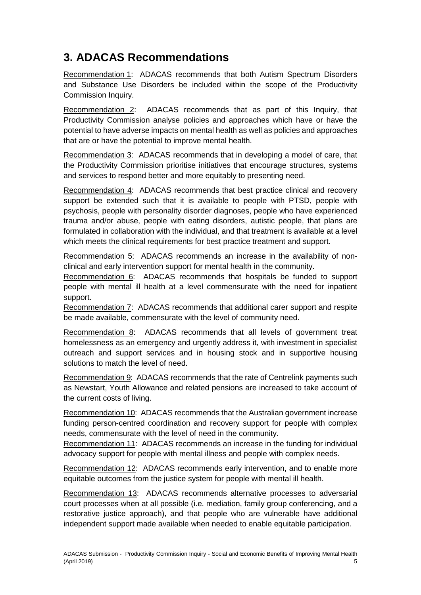# <span id="page-4-0"></span>**3. ADACAS Recommendations**

Recommendation 1: ADACAS recommends that both Autism Spectrum Disorders and Substance Use Disorders be included within the scope of the Productivity Commission Inquiry.

Recommendation 2: ADACAS recommends that as part of this Inquiry, that Productivity Commission analyse policies and approaches which have or have the potential to have adverse impacts on mental health as well as policies and approaches that are or have the potential to improve mental health.

Recommendation 3: ADACAS recommends that in developing a model of care, that the Productivity Commission prioritise initiatives that encourage structures, systems and services to respond better and more equitably to presenting need.

Recommendation 4: ADACAS recommends that best practice clinical and recovery support be extended such that it is available to people with PTSD, people with psychosis, people with personality disorder diagnoses, people who have experienced trauma and/or abuse, people with eating disorders, autistic people, that plans are formulated in collaboration with the individual, and that treatment is available at a level which meets the clinical requirements for best practice treatment and support.

Recommendation 5: ADACAS recommends an increase in the availability of nonclinical and early intervention support for mental health in the community.

Recommendation 6: ADACAS recommends that hospitals be funded to support people with mental ill health at a level commensurate with the need for inpatient support.

Recommendation 7: ADACAS recommends that additional carer support and respite be made available, commensurate with the level of community need.

Recommendation 8: ADACAS recommends that all levels of government treat homelessness as an emergency and urgently address it, with investment in specialist outreach and support services and in housing stock and in supportive housing solutions to match the level of need.

Recommendation 9: ADACAS recommends that the rate of Centrelink payments such as Newstart, Youth Allowance and related pensions are increased to take account of the current costs of living.

Recommendation 10: ADACAS recommends that the Australian government increase funding person-centred coordination and recovery support for people with complex needs, commensurate with the level of need in the community.

Recommendation 11: ADACAS recommends an increase in the funding for individual advocacy support for people with mental illness and people with complex needs.

Recommendation 12: ADACAS recommends early intervention, and to enable more equitable outcomes from the justice system for people with mental ill health.

Recommendation 13: ADACAS recommends alternative processes to adversarial court processes when at all possible (i.e. mediation, family group conferencing, and a restorative justice approach), and that people who are vulnerable have additional independent support made available when needed to enable equitable participation.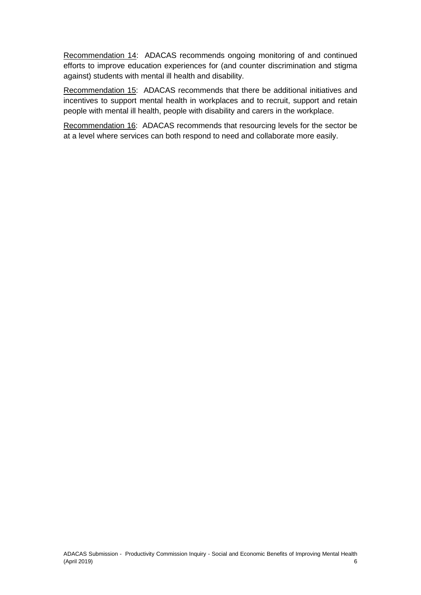Recommendation 14: ADACAS recommends ongoing monitoring of and continued efforts to improve education experiences for (and counter discrimination and stigma against) students with mental ill health and disability.

Recommendation 15: ADACAS recommends that there be additional initiatives and incentives to support mental health in workplaces and to recruit, support and retain people with mental ill health, people with disability and carers in the workplace.

Recommendation 16: ADACAS recommends that resourcing levels for the sector be at a level where services can both respond to need and collaborate more easily.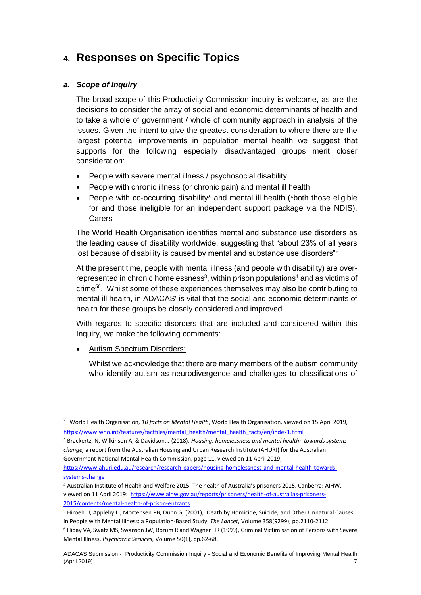# <span id="page-6-0"></span>**4. Responses on Specific Topics**

#### <span id="page-6-1"></span>*a. Scope of Inquiry*

The broad scope of this Productivity Commission inquiry is welcome, as are the decisions to consider the array of social and economic determinants of health and to take a whole of government / whole of community approach in analysis of the issues. Given the intent to give the greatest consideration to where there are the largest potential improvements in population mental health we suggest that supports for the following especially disadvantaged groups merit closer consideration:

- People with severe mental illness / psychosocial disability
- People with chronic illness (or chronic pain) and mental ill health
- People with co-occurring disability\* and mental ill health (\*both those eligible for and those ineligible for an independent support package via the NDIS). **Carers**

The World Health Organisation identifies mental and substance use disorders as the leading cause of disability worldwide, suggesting that "about 23% of all years lost because of disability is caused by mental and substance use disorders<sup>"2</sup>

At the present time, people with mental illness (and people with disability) are overrepresented in chronic homelessness<sup>3</sup>, within prison populations<sup>4</sup> and as victims of crime<sup>56</sup> . Whilst some of these experiences themselves may also be contributing to mental ill health, in ADACAS' is vital that the social and economic determinants of health for these groups be closely considered and improved.

With regards to specific disorders that are included and considered within this Inquiry, we make the following comments:

Autism Spectrum Disorders:

Whilst we acknowledge that there are many members of the autism community who identify autism as neurodivergence and challenges to classifications of

<sup>2</sup> World Health Organisation, *10 facts on Mental Health*, World Health Organisation, viewed on 15 April 2019, [https://www.who.int/features/factfiles/mental\\_health/mental\\_health\\_facts/en/index1.html](https://www.who.int/features/factfiles/mental_health/mental_health_facts/en/index1.html)

<sup>3</sup> Brackertz, N, Wilkinson A, & Davidson, J (2018), *Housing, homelessness and mental health: towards systems change,* a report from the Australian Housing and Urban Research Institute (AHURI) for the Australian Government National Mental Health Commission, page 11, viewed on 11 April 2019,

[https://www.ahuri.edu.au/research/research-papers/housing-homelessness-and-mental-health-towards](https://www.ahuri.edu.au/research/research-papers/housing-homelessness-and-mental-health-towards-systems-change)[systems-change](https://www.ahuri.edu.au/research/research-papers/housing-homelessness-and-mental-health-towards-systems-change)

<sup>4</sup> Australian Institute of Health and Welfare 2015. The health of Australia's prisoners 2015. Canberra: AIHW, viewed on 11 April 2019: [https://www.aihw.gov.au/reports/prisoners/health-of-australias-prisoners-](https://www.aihw.gov.au/reports/prisoners/health-of-australias-prisoners-2015/contents/mental-health-of-prison-entrants)[2015/contents/mental-health-of-prison-entrants](https://www.aihw.gov.au/reports/prisoners/health-of-australias-prisoners-2015/contents/mental-health-of-prison-entrants)

<sup>5</sup> Hiroeh U, Appleby L., Mortensen PB, Dunn G, (2001), [Death by Homicide, Suicide, and Other Unnatural Causes](http://www.thelancet.com/journals/lancet/article/PIIS0140-6736(01)07216-6/abstract)  [in People with Mental Illness: a Population-Based](http://www.thelancet.com/journals/lancet/article/PIIS0140-6736(01)07216-6/abstract) Study, *The Lancet,* Volume 358(9299), pp.2110-2112.

<sup>6</sup> Hiday VA, Swatz MS, Swanson JW, Borum R and Wagner HR (1999), [Criminal Victimisation of Persons with Severe](http://ps.psychiatryonline.org/doi/full/10.1176/ps.50.1.62)  [Mental Illness,](http://ps.psychiatryonline.org/doi/full/10.1176/ps.50.1.62) *Psychiatric Services,* Volume 50(1), pp.62-68.

ADACAS Submission - Productivity Commission Inquiry - Social and Economic Benefits of Improving Mental Health (April 2019) 7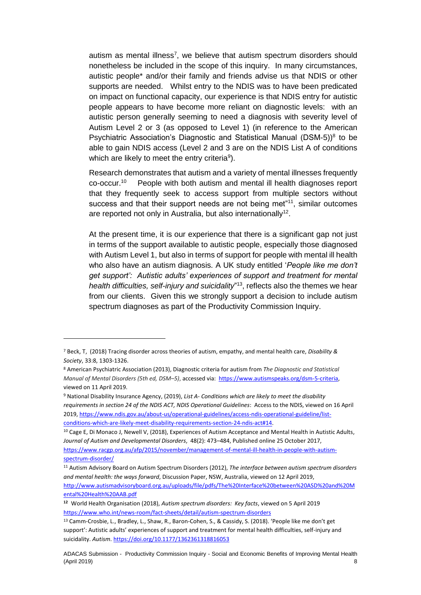autism as mental illness<sup>7</sup>, we believe that autism spectrum disorders should nonetheless be included in the scope of this inquiry. In many circumstances, autistic people\* and/or their family and friends advise us that NDIS or other supports are needed. Whilst entry to the NDIS was to have been predicated on impact on functional capacity, our experience is that NDIS entry for autistic people appears to have become more reliant on diagnostic levels: with an autistic person generally seeming to need a diagnosis with severity level of Autism Level 2 or 3 (as opposed to Level 1) (in reference to the American Psychiatric Association's Diagnostic and Statistical Manual (DSM-5)) $8$  to be able to gain NDIS access (Level 2 and 3 are on the NDIS List A of conditions which are likely to meet the entry criteria<sup>9</sup>).

Research demonstrates that autism and a variety of mental illnesses frequently co-occur.<sup>10</sup> People with both autism and mental ill health diagnoses report that they frequently seek to access support from multiple sectors without success and that their support needs are not being met<sup>"11</sup>, similar outcomes are reported not only in Australia, but also internationally<sup>12</sup>.

At the present time, it is our experience that there is a significant gap not just in terms of the support available to autistic people, especially those diagnosed with Autism Level 1, but also in terms of support for people with mental ill health who also have an autism diagnosis. A UK study entitled '*People like me don't get support': Autistic adults' experiences of support and treatment for mental*  health difficulties, self-injury and suicidality<sup>"13</sup>, reflects also the themes we hear from our clients. Given this we strongly support a decision to include autism spectrum diagnoses as part of the Productivity Commission Inquiry.

<sup>7</sup> Beck, T, (2018) Tracing disorder across theories of autism, empathy, and mental health care, *Disability & Society*, 33:8, 1303-1326.

<sup>8</sup> American Psychiatric Association (2013), Diagnostic criteria for autism from *The Diagnostic and Statistical Manual of Mental Disorders (5th ed, DSM–5)*, accessed via: [https://www.autismspeaks.org/dsm-5-criteria,](https://www.autismspeaks.org/dsm-5-criteria) viewed on 11 April 2019.

<sup>9</sup> National Disability Insurance Agency, (2019), *List A- Conditions which are likely to meet the disability requirements in section 24 of the NDIS ACT, NDIS Operational Guidelines*: Access to the NDIS, viewed on 16 April 2019[, https://www.ndis.gov.au/about-us/operational-guidelines/access-ndis-operational-guideline/list](https://www.ndis.gov.au/about-us/operational-guidelines/access-ndis-operational-guideline/list-conditions-which-are-likely-meet-disability-requirements-section-24-ndis-act#14)[conditions-which-are-likely-meet-disability-requirements-section-24-ndis-act#14.](https://www.ndis.gov.au/about-us/operational-guidelines/access-ndis-operational-guideline/list-conditions-which-are-likely-meet-disability-requirements-section-24-ndis-act#14)

<sup>10</sup> Cage E, Di Monaco J, Newell V, (2018), Experiences of Autism Acceptance and Mental Health in Autistic Adults, *Journal of Autism and Developmental Disorders*, 48(2): 473–484, Published online 25 October 2017, [https://www.racgp.org.au/afp/2015/november/management-of-mental-ill-health-in-people-with-autism](https://www.racgp.org.au/afp/2015/november/management-of-mental-ill-health-in-people-with-autism-spectrum-disorder/)[spectrum-disorder/](https://www.racgp.org.au/afp/2015/november/management-of-mental-ill-health-in-people-with-autism-spectrum-disorder/)

<sup>11</sup> Autism Advisory Board on Autism Spectrum Disorders (2012), *The interface between autism spectrum disorders and mental health: the ways forward*, Discussion Paper, NSW, Australia, viewed on 12 April 2019, [http://www.autismadvisoryboard.org.au/uploads/file/pdfs/The%20Interface%20between%20ASD%20and%20M](http://www.autismadvisoryboard.org.au/uploads/file/pdfs/The%20Interface%20between%20ASD%20and%20Mental%20Health%20AAB.pdf) [ental%20Health%20AAB.pdf](http://www.autismadvisoryboard.org.au/uploads/file/pdfs/The%20Interface%20between%20ASD%20and%20Mental%20Health%20AAB.pdf)

**<sup>12</sup>**World Health Organisation (2018), *Autism spectrum disorders: Key facts*, viewed on 5 April 2019 <https://www.who.int/news-room/fact-sheets/detail/autism-spectrum-disorders>

<sup>13</sup> Camm-Crosbie, L., Bradley, L., Shaw, R., Baron-Cohen, S., & Cassidy, S. (2018). 'People like me don't get support': Autistic adults' experiences of support and treatment for mental health difficulties, self-injury and suicidality. *Autism*[. https://doi.org/10.1177/1362361318816053](https://doi.org/10.1177/1362361318816053)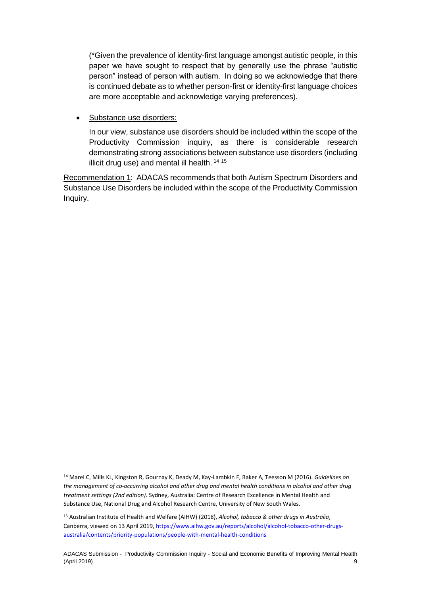(\*Given the prevalence of identity-first language amongst autistic people, in this paper we have sought to respect that by generally use the phrase "autistic person" instead of person with autism. In doing so we acknowledge that there is continued debate as to whether person-first or identity-first language choices are more acceptable and acknowledge varying preferences).

• Substance use disorders:

 $\overline{a}$ 

In our view, substance use disorders should be included within the scope of the Productivity Commission inquiry, as there is considerable research demonstrating strong associations between substance use disorders (including illicit drug use) and mental ill health.<sup>14 15</sup>

Recommendation 1: ADACAS recommends that both Autism Spectrum Disorders and Substance Use Disorders be included within the scope of the Productivity Commission Inquiry.

<sup>14</sup> Marel C, Mills KL, Kingston R, Gournay K, Deady M, Kay-Lambkin F, Baker A, Teesson M (2016). *Guidelines on the management of co-occurring alcohol and other drug and mental health conditions in alcohol and other drug treatment settings (2nd edition).* Sydney, Australia: Centre of Research Excellence in Mental Health and Substance Use, National Drug and Alcohol Research Centre, University of New South Wales.

<sup>15</sup> Australian Institute of Health and Welfare (AIHW) (2018), *Alcohol, tobacco & other drugs in Australia*, Canberra, viewed on 13 April 2019[, https://www.aihw.gov.au/reports/alcohol/alcohol-tobacco-other-drugs](https://www.aihw.gov.au/reports/alcohol/alcohol-tobacco-other-drugs-australia/contents/priority-populations/people-with-mental-health-conditions)[australia/contents/priority-populations/people-with-mental-health-conditions](https://www.aihw.gov.au/reports/alcohol/alcohol-tobacco-other-drugs-australia/contents/priority-populations/people-with-mental-health-conditions)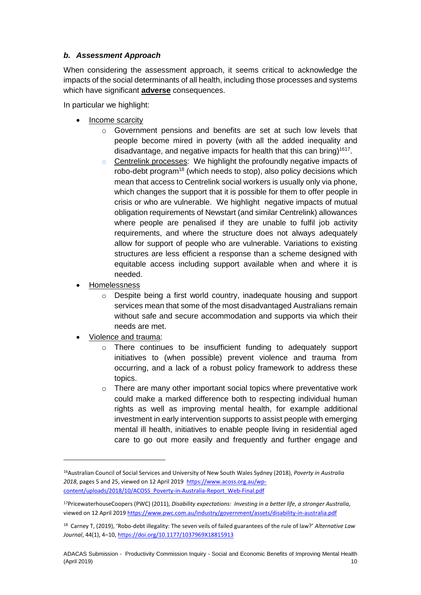# <span id="page-9-0"></span>*b. Assessment Approach*

When considering the assessment approach, it seems critical to acknowledge the impacts of the social determinants of all health, including those processes and systems which have significant **adverse** consequences.

In particular we highlight:

- Income scarcity
	- $\circ$  Government pensions and benefits are set at such low levels that people become mired in poverty (with all the added inequality and disadvantage, and negative impacts for health that this can bring)<sup>1617</sup>.
	- o Centrelink processes: We highlight the profoundly negative impacts of robo-debt program<sup>18</sup> (which needs to stop), also policy decisions which mean that access to Centrelink social workers is usually only via phone, which changes the support that it is possible for them to offer people in crisis or who are vulnerable. We highlight negative impacts of mutual obligation requirements of Newstart (and similar Centrelink) allowances where people are penalised if they are unable to fulfil job activity requirements, and where the structure does not always adequately allow for support of people who are vulnerable. Variations to existing structures are less efficient a response than a scheme designed with equitable access including support available when and where it is needed.
- Homelessness
	- $\circ$  Despite being a first world country, inadequate housing and support services mean that some of the most disadvantaged Australians remain without safe and secure accommodation and supports via which their needs are met.

# Violence and trauma:

 $\overline{a}$ 

- o There continues to be insufficient funding to adequately support initiatives to (when possible) prevent violence and trauma from occurring, and a lack of a robust policy framework to address these topics.
- $\circ$  There are many other important social topics where preventative work could make a marked difference both to respecting individual human rights as well as improving mental health, for example additional investment in early intervention supports to assist people with emerging mental ill health, initiatives to enable people living in residential aged care to go out more easily and frequently and further engage and

<sup>16</sup>Australian Council of Social Services and University of New South Wales Sydney (2018), *Poverty in Australia 2018*, pages 5 and 25, viewed on 12 April 2019 [https://www.acoss.org.au/wp](https://www.acoss.org.au/wp-content/uploads/2018/10/ACOSS_Poverty-in-Australia-Report_Web-Final.pdf)[content/uploads/2018/10/ACOSS\\_Poverty-in-Australia-Report\\_Web-Final.pdf](https://www.acoss.org.au/wp-content/uploads/2018/10/ACOSS_Poverty-in-Australia-Report_Web-Final.pdf) 

<sup>17</sup>PricewaterhouseCoopers (PWC) (2011), *Disability expectations: Investing in a better life, a stronger Australia,*  viewed on 12 April 2019 <https://www.pwc.com.au/industry/government/assets/disability-in-australia.pdf>

<sup>18</sup> Carney T, (2019), 'Robo-debt illegality: The seven veils of failed guarantees of the rule of law?' *Alternative Law Journal*, 44(1), 4–10[, https://doi.org/10.1177/1037969X18815913](https://doi.org/10.1177/1037969X18815913)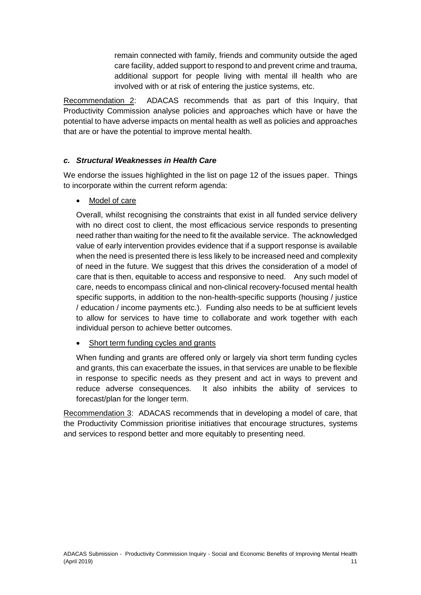remain connected with family, friends and community outside the aged care facility, added support to respond to and prevent crime and trauma, additional support for people living with mental ill health who are involved with or at risk of entering the justice systems, etc.

Recommendation 2: ADACAS recommends that as part of this Inquiry, that Productivity Commission analyse policies and approaches which have or have the potential to have adverse impacts on mental health as well as policies and approaches that are or have the potential to improve mental health.

#### <span id="page-10-0"></span>*c. Structural Weaknesses in Health Care*

We endorse the issues highlighted in the list on page 12 of the issues paper. Things to incorporate within the current reform agenda:

#### Model of care

Overall, whilst recognising the constraints that exist in all funded service delivery with no direct cost to client, the most efficacious service responds to presenting need rather than waiting for the need to fit the available service. The acknowledged value of early intervention provides evidence that if a support response is available when the need is presented there is less likely to be increased need and complexity of need in the future. We suggest that this drives the consideration of a model of care that is then, equitable to access and responsive to need. Any such model of care, needs to encompass clinical and non-clinical recovery-focused mental health specific supports, in addition to the non-health-specific supports (housing / justice / education / income payments etc.). Funding also needs to be at sufficient levels to allow for services to have time to collaborate and work together with each individual person to achieve better outcomes.

#### Short term funding cycles and grants

When funding and grants are offered only or largely via short term funding cycles and grants, this can exacerbate the issues, in that services are unable to be flexible in response to specific needs as they present and act in ways to prevent and reduce adverse consequences. It also inhibits the ability of services to forecast/plan for the longer term.

Recommendation 3: ADACAS recommends that in developing a model of care, that the Productivity Commission prioritise initiatives that encourage structures, systems and services to respond better and more equitably to presenting need.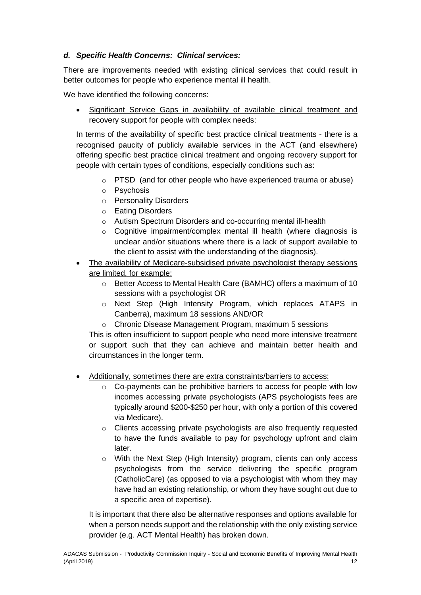# <span id="page-11-0"></span>*d. Specific Health Concerns: Clinical services:*

There are improvements needed with existing clinical services that could result in better outcomes for people who experience mental ill health.

We have identified the following concerns:

 Significant Service Gaps in availability of available clinical treatment and recovery support for people with complex needs:

In terms of the availability of specific best practice clinical treatments - there is a recognised paucity of publicly available services in the ACT (and elsewhere) offering specific best practice clinical treatment and ongoing recovery support for people with certain types of conditions, especially conditions such as:

- o PTSD (and for other people who have experienced trauma or abuse)
- o Psychosis
- o Personality Disorders
- o Eating Disorders
- o Autism Spectrum Disorders and co-occurring mental ill-health
- o Cognitive impairment/complex mental ill health (where diagnosis is unclear and/or situations where there is a lack of support available to the client to assist with the understanding of the diagnosis).
- The availability of Medicare-subsidised private psychologist therapy sessions are limited, for example:
	- o Better Access to Mental Health Care (BAMHC) offers a maximum of 10 sessions with a psychologist OR
	- o Next Step (High Intensity Program, which replaces ATAPS in Canberra), maximum 18 sessions AND/OR
	- o Chronic Disease Management Program, maximum 5 sessions

This is often insufficient to support people who need more intensive treatment or support such that they can achieve and maintain better health and circumstances in the longer term.

- Additionally, sometimes there are extra constraints/barriers to access:
	- Co-payments can be prohibitive barriers to access for people with low incomes accessing private psychologists (APS psychologists fees are typically around \$200-\$250 per hour, with only a portion of this covered via Medicare).
	- o Clients accessing private psychologists are also frequently requested to have the funds available to pay for psychology upfront and claim later.
	- o With the Next Step (High Intensity) program, clients can only access psychologists from the service delivering the specific program (CatholicCare) (as opposed to via a psychologist with whom they may have had an existing relationship, or whom they have sought out due to a specific area of expertise).

It is important that there also be alternative responses and options available for when a person needs support and the relationship with the only existing service provider (e.g. ACT Mental Health) has broken down.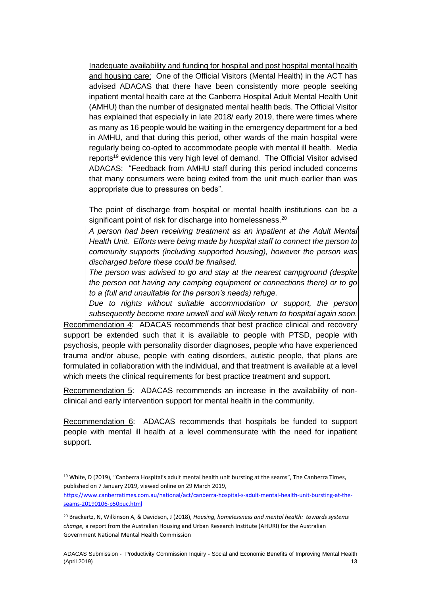Inadequate availability and funding for hospital and post hospital mental health and housing care: One of the Official Visitors (Mental Health) in the ACT has advised ADACAS that there have been consistently more people seeking inpatient mental health care at the Canberra Hospital Adult Mental Health Unit (AMHU) than the number of designated mental health beds. The Official Visitor has explained that especially in late 2018/ early 2019, there were times where as many as 16 people would be waiting in the emergency department for a bed in AMHU, and that during this period, other wards of the main hospital were regularly being co-opted to accommodate people with mental ill health. Media reports<sup>19</sup> evidence this very high level of demand. The Official Visitor advised ADACAS: "Feedback from AMHU staff during this period included concerns that many consumers were being exited from the unit much earlier than was appropriate due to pressures on beds".

The point of discharge from hospital or mental health institutions can be a significant point of risk for discharge into homelessness.<sup>20</sup>

*A person had been receiving treatment as an inpatient at the Adult Mental Health Unit. Efforts were being made by hospital staff to connect the person to community supports (including supported housing), however the person was discharged before these could be finalised.* 

*The person was advised to go and stay at the nearest campground (despite the person not having any camping equipment or connections there) or to go to a (full and unsuitable for the person's needs) refuge.* 

*Due to nights without suitable accommodation or support, the person subsequently become more unwell and will likely return to hospital again soon.* 

Recommendation 4: ADACAS recommends that best practice clinical and recovery support be extended such that it is available to people with PTSD, people with psychosis, people with personality disorder diagnoses, people who have experienced trauma and/or abuse, people with eating disorders, autistic people, that plans are formulated in collaboration with the individual, and that treatment is available at a level which meets the clinical requirements for best practice treatment and support.

Recommendation 5: ADACAS recommends an increase in the availability of nonclinical and early intervention support for mental health in the community.

Recommendation 6: ADACAS recommends that hospitals be funded to support people with mental ill health at a level commensurate with the need for inpatient support.

 $\overline{a}$ 

<sup>&</sup>lt;sup>19</sup> White, D (2019), "Canberra Hospital's adult mental health unit bursting at the seams", The Canberra Times, published on 7 January 2019, viewed online on 29 March 2019,

[https://www.canberratimes.com.au/national/act/canberra-hospital-s-adult-mental-health-unit-bursting-at-the](https://www.canberratimes.com.au/national/act/canberra-hospital-s-adult-mental-health-unit-bursting-at-the-seams-20190106-p50puc.html)[seams-20190106-p50puc.html](https://www.canberratimes.com.au/national/act/canberra-hospital-s-adult-mental-health-unit-bursting-at-the-seams-20190106-p50puc.html)

<sup>20</sup> Brackertz, N, Wilkinson A, & Davidson, J (2018), *Housing, homelessness and mental health: towards systems change,* a report from the Australian Housing and Urban Research Institute (AHURI) for the Australian Government National Mental Health Commission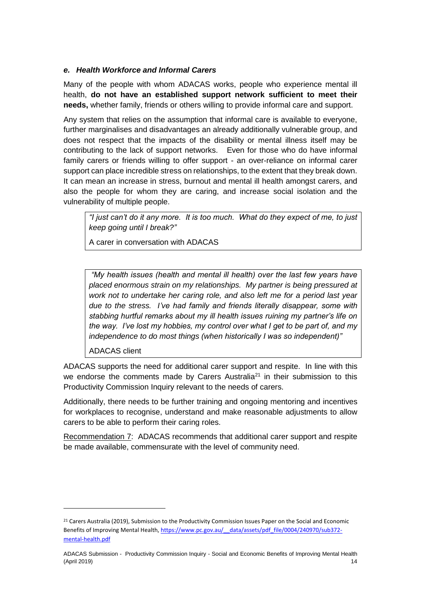# <span id="page-13-0"></span>*e. Health Workforce and Informal Carers*

Many of the people with whom ADACAS works, people who experience mental ill health, **do not have an established support network sufficient to meet their needs,** whether family, friends or others willing to provide informal care and support.

Any system that relies on the assumption that informal care is available to everyone, further marginalises and disadvantages an already additionally vulnerable group, and does not respect that the impacts of the disability or mental illness itself may be contributing to the lack of support networks. Even for those who do have informal family carers or friends willing to offer support - an over-reliance on informal carer support can place incredible stress on relationships, to the extent that they break down. It can mean an increase in stress, burnout and mental ill health amongst carers, and also the people for whom they are caring, and increase social isolation and the vulnerability of multiple people.

*"I just can't do it any more. It is too much. What do they expect of me, to just keep going until I break?"*

A carer in conversation with ADACAS

*"My health issues (health and mental ill health) over the last few years have placed enormous strain on my relationships. My partner is being pressured at work not to undertake her caring role, and also left me for a period last year due to the stress. I've had family and friends literally disappear, some with stabbing hurtful remarks about my ill health issues ruining my partner's life on the way. I've lost my hobbies, my control over what I get to be part of, and my independence to do most things (when historically I was so independent)"*

ADACAS client

 $\overline{a}$ 

ADACAS supports the need for additional carer support and respite. In line with this we endorse the comments made by Carers Australia<sup>21</sup> in their submission to this Productivity Commission Inquiry relevant to the needs of carers.

Additionally, there needs to be further training and ongoing mentoring and incentives for workplaces to recognise, understand and make reasonable adjustments to allow carers to be able to perform their caring roles.

Recommendation 7: ADACAS recommends that additional carer support and respite be made available, commensurate with the level of community need.

<sup>&</sup>lt;sup>21</sup> Carers Australia (2019), Submission to the Productivity Commission Issues Paper on the Social and Economic Benefits of Improving Mental Health, https://www.pc.gov.au/ data/assets/pdf file/0004/240970/sub372[mental-health.pdf](https://www.pc.gov.au/__data/assets/pdf_file/0004/240970/sub372-mental-health.pdf)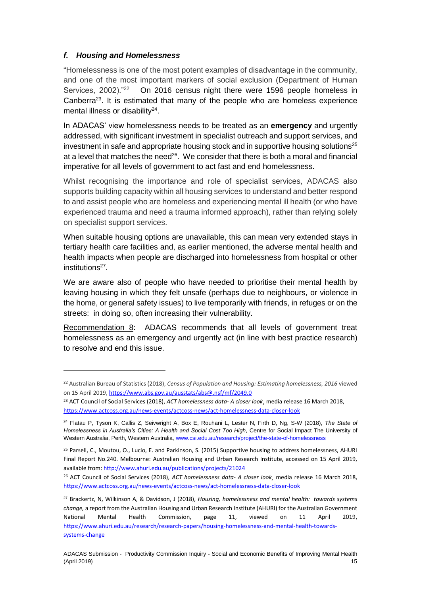#### <span id="page-14-0"></span>*f. Housing and Homelessness*

"Homelessness is one of the most potent examples of disadvantage in the community, and one of the most important markers of social exclusion (Department of Human Services, 2002)."<sup>22</sup> On 2016 census night there were 1596 people homeless in Canberra<sup>23</sup>. It is estimated that many of the people who are homeless experience mental illness or disability<sup>24</sup>.

In ADACAS' view homelessness needs to be treated as an **emergency** and urgently addressed, with significant investment in specialist outreach and support services, and investment in safe and appropriate housing stock and in supportive housing solutions<sup>25</sup> at a level that matches the need<sup>26</sup>. We consider that there is both a moral and financial imperative for all levels of government to act fast and end homelessness.

Whilst recognising the importance and role of specialist services, ADACAS also supports building capacity within all housing services to understand and better respond to and assist people who are homeless and experiencing mental ill health (or who have experienced trauma and need a trauma informed approach), rather than relying solely on specialist support services.

When suitable housing options are unavailable, this can mean very extended stays in tertiary health care facilities and, as earlier mentioned, the adverse mental health and health impacts when people are discharged into homelessness from hospital or other institutions<sup>27</sup>.

We are aware also of people who have needed to prioritise their mental health by leaving housing in which they felt unsafe (perhaps due to neighbours, or violence in the home, or general safety issues) to live temporarily with friends, in refuges or on the streets: in doing so, often increasing their vulnerability.

Recommendation 8: ADACAS recommends that all levels of government treat homelessness as an emergency and urgently act (in line with best practice research) to resolve and end this issue.

<sup>22</sup> Australian Bureau of Statistics (2018), *Census of Population and Housing: Estimating homelessness, 2016* viewed on 15 April 2019[, https://www.abs.gov.au/ausstats/abs@.nsf/mf/2049.0](https://www.abs.gov.au/ausstats/abs@.nsf/mf/2049.0)

<sup>23</sup> ACT Council of Social Services (2018), *ACT homelessness data- A closer look¸* media release 16 March 2018, <https://www.actcoss.org.au/news-events/actcoss-news/act-homelessness-data-closer-look>

<sup>24</sup> Flatau P, Tyson K, Callis Z, Seivwright A, Box E, Rouhani L, Lester N, Firth D, Ng, S-W (2018), *The State of Homelessness in Australia's Cities: A Health and Social Cost Too High*, Centre for Social Impact The University of Western Australia, Perth, Western Australia[, www.csi.edu.au/research/project/the-state-of-homelessness](http://www.csi.edu.au/research/project/the-state-of-homelessness)

<sup>&</sup>lt;sup>25</sup> Parsell, C., Moutou, O., Lucio, E. and Parkinson, S. (2015) Supportive housing to address homelessness, AHURI Final Report No.240. Melbourne: Australian Housing and Urban Research Institute, accessed on 15 April 2019, available from[: http://www.ahuri.edu.au/publications/projects/21024](http://www.ahuri.edu.au/publications/projects/21024)

<sup>26</sup> ACT Council of Social Services (2018), *ACT homelessness data- A closer look¸* media release 16 March 2018, <https://www.actcoss.org.au/news-events/actcoss-news/act-homelessness-data-closer-look>

<sup>27</sup> Brackertz, N, Wilkinson A, & Davidson, J (2018), *Housing, homelessness and mental health: towards systems change,* a report from the Australian Housing and Urban Research Institute (AHURI) for the Australian Government National Mental Health Commission, page 11, viewed on 11 April 2019, [https://www.ahuri.edu.au/research/research-papers/housing-homelessness-and-mental-health-towards](https://www.ahuri.edu.au/research/research-papers/housing-homelessness-and-mental-health-towards-systems-change)[systems-change](https://www.ahuri.edu.au/research/research-papers/housing-homelessness-and-mental-health-towards-systems-change)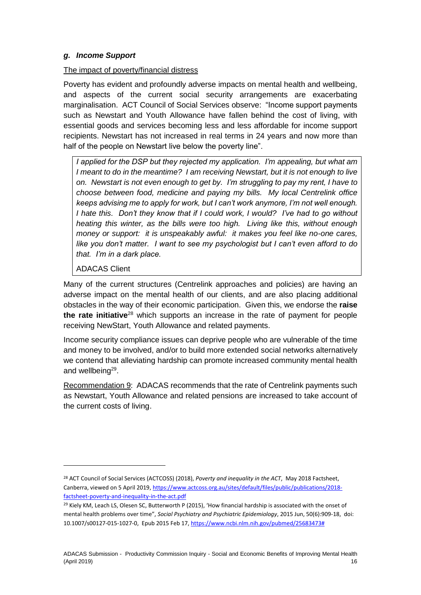#### <span id="page-15-0"></span>*g. Income Support*

#### The impact of poverty/financial distress

Poverty has evident and profoundly adverse impacts on mental health and wellbeing, and aspects of the current social security arrangements are exacerbating marginalisation. ACT Council of Social Services observe: "Income support payments such as Newstart and Youth Allowance have fallen behind the cost of living, with essential goods and services becoming less and less affordable for income support recipients. Newstart has not increased in real terms in 24 years and now more than half of the people on Newstart live below the poverty line".

*I applied for the DSP but they rejected my application. I'm appealing, but what am I meant to do in the meantime? I am receiving Newstart, but it is not enough to live on. Newstart is not even enough to get by. I'm struggling to pay my rent, I have to choose between food, medicine and paying my bills. My local Centrelink office keeps advising me to apply for work, but I can't work anymore, I'm not well enough. I hate this. Don't they know that if I could work, I would? I've had to go without heating this winter, as the bills were too high. Living like this, without enough money or support: it is unspeakably awful: it makes you feel like no-one cares, like you don't matter. I want to see my psychologist but I can't even afford to do that. I'm in a dark place.* 

#### ADACAS Client

Many of the current structures (Centrelink approaches and policies) are having an adverse impact on the mental health of our clients, and are also placing additional obstacles in the way of their economic participation. Given this, we endorse the **raise the rate initiative**<sup>28</sup> which supports an increase in the rate of payment for people receiving NewStart, Youth Allowance and related payments.

Income security compliance issues can deprive people who are vulnerable of the time and money to be involved, and/or to build more extended social networks alternatively we contend that alleviating hardship can promote increased community mental health and wellbeing<sup>29</sup>.

Recommendation 9: ADACAS recommends that the rate of Centrelink payments such as Newstart, Youth Allowance and related pensions are increased to take account of the current costs of living.

<sup>28</sup> ACT Council of Social Services (ACTCOSS) (2018), *Poverty and inequality in the ACT*, May 2018 Factsheet, Canberra, viewed on 5 April 2019, [https://www.actcoss.org.au/sites/default/files/public/publications/2018](https://www.actcoss.org.au/sites/default/files/public/publications/2018-factsheet-poverty-and-inequality-in-the-act.pdf) [factsheet-poverty-and-inequality-in-the-act.pdf](https://www.actcoss.org.au/sites/default/files/public/publications/2018-factsheet-poverty-and-inequality-in-the-act.pdf)

<sup>&</sup>lt;sup>29</sup> [Kiely KM,](https://www.ncbi.nlm.nih.gov/pubmed/?term=Kiely%20KM%5BAuthor%5D&cauthor=true&cauthor_uid=25683473) [Leach LS,](https://www.ncbi.nlm.nih.gov/pubmed/?term=Leach%20LS%5BAuthor%5D&cauthor=true&cauthor_uid=25683473) [Olesen SC,](https://www.ncbi.nlm.nih.gov/pubmed/?term=Olesen%20SC%5BAuthor%5D&cauthor=true&cauthor_uid=25683473) [Butterworth P](https://www.ncbi.nlm.nih.gov/pubmed/?term=Butterworth%20P%5BAuthor%5D&cauthor=true&cauthor_uid=25683473) (2015), 'How financial hardship is associated with the onset of mental health problems over time", *Social Psychiatry and Psychiatric Epidemiology*, 2015 Jun, 50(6):909-18, doi: 10.1007/s00127-015-1027-0, Epub 2015 Feb 17, [https://www.ncbi.nlm.nih.gov/pubmed/25683473#](https://www.ncbi.nlm.nih.gov/pubmed/25683473)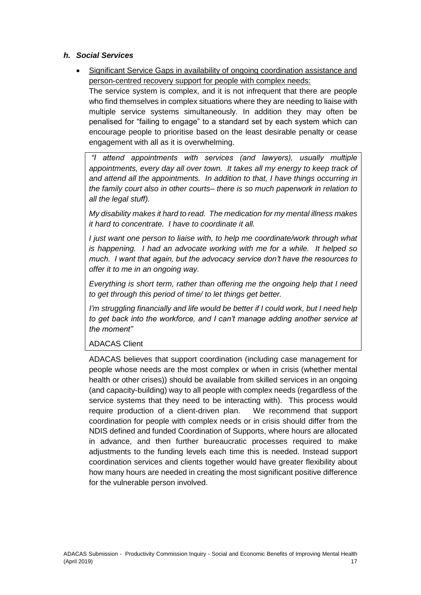#### <span id="page-16-0"></span>*h. Social Services*

 Significant Service Gaps in availability of ongoing coordination assistance and person-centred recovery support for people with complex needs:

The service system is complex, and it is not infrequent that there are people who find themselves in complex situations where they are needing to liaise with multiple service systems simultaneously. In addition they may often be penalised for "failing to engage" to a standard set by each system which can encourage people to prioritise based on the least desirable penalty or cease engagement with all as it is overwhelming.

*"I attend appointments with services (and lawyers), usually multiple appointments, every day all over town. It takes all my energy to keep track of and attend all the appointments. In addition to that, I have things occurring in the family court also in other courts– there is so much paperwork in relation to all the legal stuff).* 

*My disability makes it hard to read. The medication for my mental illness makes it hard to concentrate. I have to coordinate it all.* 

*I just want one person to liaise with, to help me coordinate/work through what is happening. I had an advocate working with me for a while. It helped so much. I want that again, but the advocacy service don't have the resources to offer it to me in an ongoing way.* 

*Everything is short term, rather than offering me the ongoing help that I need to get through this period of time/ to let things get better.* 

*I'm struggling financially and life would be better if I could work, but I need help to get back into the workforce, and I can't manage adding another service at the moment"* 

# ADACAS Client

ADACAS believes that support coordination (including case management for people whose needs are the most complex or when in crisis (whether mental health or other crises)) should be available from skilled services in an ongoing (and capacity-building) way to all people with complex needs (regardless of the service systems that they need to be interacting with). This process would require production of a client-driven plan. We recommend that support coordination for people with complex needs or in crisis should differ from the NDIS defined and funded Coordination of Supports, where hours are allocated in advance, and then further bureaucratic processes required to make adjustments to the funding levels each time this is needed. Instead support coordination services and clients together would have greater flexibility about how many hours are needed in creating the most significant positive difference for the vulnerable person involved.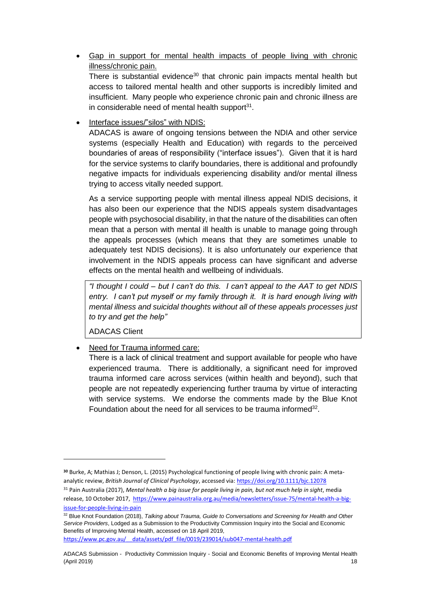Gap in support for mental health impacts of people living with chronic illness/chronic pain.

There is substantial evidence<sup>30</sup> that chronic pain impacts mental health but access to tailored mental health and other supports is incredibly limited and insufficient. Many people who experience chronic pain and chronic illness are in considerable need of mental health support $31$ .

• Interface issues/"silos" with NDIS:

ADACAS is aware of ongoing tensions between the NDIA and other service systems (especially Health and Education) with regards to the perceived boundaries of areas of responsibility ("interface issues"). Given that it is hard for the service systems to clarify boundaries, there is additional and profoundly negative impacts for individuals experiencing disability and/or mental illness trying to access vitally needed support.

As a service supporting people with mental illness appeal NDIS decisions, it has also been our experience that the NDIS appeals system disadvantages people with psychosocial disability, in that the nature of the disabilities can often mean that a person with mental ill health is unable to manage going through the appeals processes (which means that they are sometimes unable to adequately test NDIS decisions). It is also unfortunately our experience that involvement in the NDIS appeals process can have significant and adverse effects on the mental health and wellbeing of individuals.

*"I thought I could – but I can't do this. I can't appeal to the AAT to get NDIS entry. I can't put myself or my family through it. It is hard enough living with mental illness and suicidal thoughts without all of these appeals processes just to try and get the help"*

ADACAS Client

 $\overline{a}$ 

Need for Trauma informed care:

There is a lack of clinical treatment and support available for people who have experienced trauma. There is additionally, a significant need for improved trauma informed care across services (within health and beyond), such that people are not repeatedly experiencing further trauma by virtue of interacting with service systems. We endorse the comments made by the Blue Knot Foundation about the need for all services to be trauma informed<sup>32</sup>.

[https://www.pc.gov.au/\\_\\_data/assets/pdf\\_file/0019/239014/sub047-mental-health.pdf](https://www.pc.gov.au/__data/assets/pdf_file/0019/239014/sub047-mental-health.pdf)

**<sup>30</sup>** Burke, A; Mathias J; Denson, L. (2015) Psychological functioning of people living with chronic pain: A meta‐ analytic review, *British Journal of Clinical Psychology*, accessed via:<https://doi.org/10.1111/bjc.12078>

<sup>31</sup> Pain Australia (2017), *Mental health a big issue for people living in pain, but not much help in sight*, media release, 10 October 2017, [https://www.painaustralia.org.au/media/newsletters/issue-75/mental-health-a-big](https://www.painaustralia.org.au/media/newsletters/issue-75/mental-health-a-big-issue-for-people-living-in-pain)[issue-for-people-living-in-pain](https://www.painaustralia.org.au/media/newsletters/issue-75/mental-health-a-big-issue-for-people-living-in-pain)

<sup>&</sup>lt;sup>32</sup> Blue Knot Foundation (2018), *Talking about Trauma, Guide to Conversations and Screening for Health and Other Service Providers*, Lodged as a Submission to the Productivity Commission Inquiry into the Social and Economic Benefits of Improving Mental Health, accessed on 18 April 2019,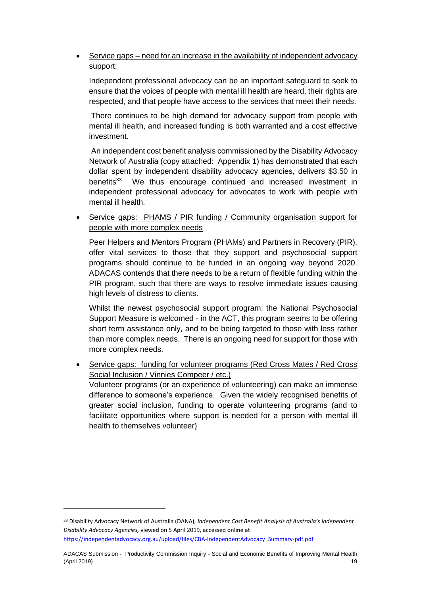# Service gaps – need for an increase in the availability of independent advocacy support:

Independent professional advocacy can be an important safeguard to seek to ensure that the voices of people with mental ill health are heard, their rights are respected, and that people have access to the services that meet their needs.

There continues to be high demand for advocacy support from people with mental ill health, and increased funding is both warranted and a cost effective investment.

An independent cost benefit analysis commissioned by the Disability Advocacy Network of Australia (copy attached: Appendix 1) has demonstrated that each dollar spent by independent disability advocacy agencies, delivers \$3.50 in benefits<sup>33</sup> We thus encourage continued and increased investment in independent professional advocacy for advocates to work with people with mental ill health.

 Service gaps: PHAMS / PIR funding / Community organisation support for people with more complex needs

Peer Helpers and Mentors Program (PHAMs) and Partners in Recovery (PIR), offer vital services to those that they support and psychosocial support programs should continue to be funded in an ongoing way beyond 2020. ADACAS contends that there needs to be a return of flexible funding within the PIR program, such that there are ways to resolve immediate issues causing high levels of distress to clients.

Whilst the newest psychosocial support program: the National Psychosocial Support Measure is welcomed - in the ACT, this program seems to be offering short term assistance only, and to be being targeted to those with less rather than more complex needs. There is an ongoing need for support for those with more complex needs.

 Service gaps: funding for volunteer programs (Red Cross Mates / Red Cross Social Inclusion / Vinnies Compeer / etc.)

Volunteer programs (or an experience of volunteering) can make an immense difference to someone's experience. Given the widely recognised benefits of greater social inclusion, funding to operate volunteering programs (and to facilitate opportunities where support is needed for a person with mental ill health to themselves volunteer)

 $\overline{a}$ 

<sup>33</sup> Disability Advocacy Network of Australia (DANA), *Independent Cost Benefit Analysis of Australia's Independent Disability Advocacy Agencies,* viewed on 5 April 2019, accessed online at [https://independentadvocacy.org.au/upload/files/CBA-IndependentAdvocacy\\_Summary-pdf.pdf](https://independentadvocacy.org.au/upload/files/CBA-IndependentAdvocacy_Summary-pdf.pdf)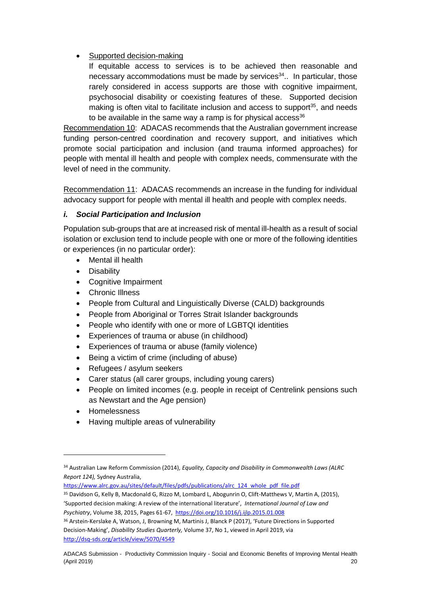# Supported decision-making

If equitable access to services is to be achieved then reasonable and necessary accommodations must be made by services $34$ .. In particular, those rarely considered in access supports are those with cognitive impairment, psychosocial disability or coexisting features of these. Supported decision making is often vital to facilitate inclusion and access to support<sup>35</sup>, and needs to be available in the same way a ramp is for physical access $36$ 

Recommendation 10: ADACAS recommends that the Australian government increase funding person-centred coordination and recovery support, and initiatives which promote social participation and inclusion (and trauma informed approaches) for people with mental ill health and people with complex needs, commensurate with the level of need in the community.

Recommendation 11: ADACAS recommends an increase in the funding for individual advocacy support for people with mental ill health and people with complex needs.

# <span id="page-19-0"></span>*i. Social Participation and Inclusion*

Population sub-groups that are at increased risk of mental ill-health as a result of social isolation or exclusion tend to include people with one or more of the following identities or experiences (in no particular order):

- Mental ill health
- Disability
- Cognitive Impairment
- Chronic Illness
- People from Cultural and Linguistically Diverse (CALD) backgrounds
- People from Aboriginal or Torres Strait Islander backgrounds
- People who identify with one or more of LGBTQI identities
- Experiences of trauma or abuse (in childhood)
- Experiences of trauma or abuse (family violence)
- Being a victim of crime (including of abuse)
- Refugees / asylum seekers
- Carer status (all carer groups, including young carers)
- People on limited incomes (e.g. people in receipt of Centrelink pensions such as Newstart and the Age pension)
- Homelessness

• Having multiple areas of vulnerability

[https://www.alrc.gov.au/sites/default/files/pdfs/publications/alrc\\_124\\_whole\\_pdf\\_file.pdf](https://www.alrc.gov.au/sites/default/files/pdfs/publications/alrc_124_whole_pdf_file.pdf)

<sup>34</sup> Australian Law Reform Commission (2014), *Equality, Capacity and Disability in Commonwealth Laws (ALRC Report 124),* Sydney Australia,

<sup>35</sup> Davidson G, Kelly B, Macdonald G, Rizzo M, Lombard L, Abogunrin O, Clift-Matthews V, Martin A, (2015), 'Supported decision making: A review of the international literature', *International Journal of Law and Psychiatry*, Volume 38, 2015, Pages 61-67,<https://doi.org/10.1016/j.ijlp.2015.01.008>

<sup>36</sup> Arstein-Kerslake A, Watson, J, Browning M, Martinis J, Blanck P (2017), 'Future Directions in Supported Decision-Making', *Disability Studies Quarterly,* Volume 37, No 1, viewed in April 2019, via <http://dsq-sds.org/article/view/5070/4549>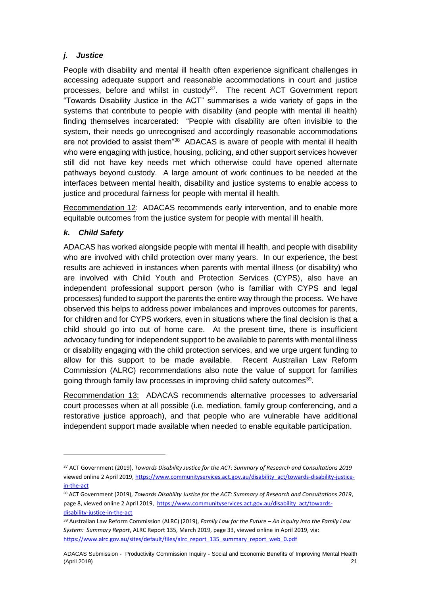# <span id="page-20-0"></span>*j. Justice*

People with disability and mental ill health often experience significant challenges in accessing adequate support and reasonable accommodations in court and justice processes, before and whilst in custody $37$ . The recent ACT Government report "Towards Disability Justice in the ACT" summarises a wide variety of gaps in the systems that contribute to people with disability (and people with mental ill health) finding themselves incarcerated: "People with disability are often invisible to the system, their needs go unrecognised and accordingly reasonable accommodations are not provided to assist them<sup>"38</sup> ADACAS is aware of people with mental ill health who were engaging with justice, housing, policing, and other support services however still did not have key needs met which otherwise could have opened alternate pathways beyond custody. A large amount of work continues to be needed at the interfaces between mental health, disability and justice systems to enable access to justice and procedural fairness for people with mental ill health.

Recommendation 12: ADACAS recommends early intervention, and to enable more equitable outcomes from the justice system for people with mental ill health.

# <span id="page-20-1"></span>*k. Child Safety*

ADACAS has worked alongside people with mental ill health, and people with disability who are involved with child protection over many years. In our experience, the best results are achieved in instances when parents with mental illness (or disability) who are involved with Child Youth and Protection Services (CYPS), also have an independent professional support person (who is familiar with CYPS and legal processes) funded to support the parents the entire way through the process. We have observed this helps to address power imbalances and improves outcomes for parents, for children and for CYPS workers, even in situations where the final decision is that a child should go into out of home care. At the present time, there is insufficient advocacy funding for independent support to be available to parents with mental illness or disability engaging with the child protection services, and we urge urgent funding to allow for this support to be made available. Recent Australian Law Reform Commission (ALRC) recommendations also note the value of support for families going through family law processes in improving child safety outcomes<sup>39</sup>.

Recommendation 13: ADACAS recommends alternative processes to adversarial court processes when at all possible (i.e. mediation, family group conferencing, and a restorative justice approach), and that people who are vulnerable have additional independent support made available when needed to enable equitable participation.

<sup>37</sup> ACT Government (2019), *Towards Disability Justice for the ACT: Summary of Research and Consultations 2019* viewed online 2 April 2019[, https://www.communityservices.act.gov.au/disability\\_act/towards-disability-justice](https://www.communityservices.act.gov.au/disability_act/towards-disability-justice-in-the-act)[in-the-act](https://www.communityservices.act.gov.au/disability_act/towards-disability-justice-in-the-act)

<sup>38</sup> ACT Government (2019), *Towards Disability Justice for the ACT: Summary of Research and Consultations 2019*, page 8, viewed online 2 April 2019, [https://www.communityservices.act.gov.au/disability\\_act/towards](https://www.communityservices.act.gov.au/disability_act/towards-disability-justice-in-the-act)[disability-justice-in-the-act](https://www.communityservices.act.gov.au/disability_act/towards-disability-justice-in-the-act)

<sup>39</sup> Australian Law Reform Commission (ALRC) (2019), *Family Law for the Future – An Inquiry into the Family Law System: Summary Report*, ALRC Report 135, March 2019, page 33, viewed online in April 2019, via: https://www.alrc.gov.au/sites/default/files/alrc\_report\_135\_summary\_report\_web\_0.pdf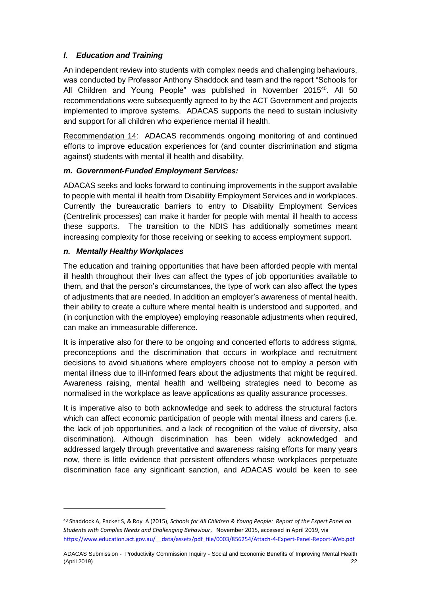# <span id="page-21-0"></span>*l. Education and Training*

An independent review into students with complex needs and challenging behaviours, was conducted by Professor Anthony Shaddock and team and the report "Schools for All Children and Young People" was published in November 2015<sup>40</sup>. All 50 recommendations were subsequently agreed to by the ACT Government and projects implemented to improve systems. ADACAS supports the need to sustain inclusivity and support for all children who experience mental ill health.

Recommendation 14: ADACAS recommends ongoing monitoring of and continued efforts to improve education experiences for (and counter discrimination and stigma against) students with mental ill health and disability.

# <span id="page-21-1"></span>*m. Government-Funded Employment Services:*

ADACAS seeks and looks forward to continuing improvements in the support available to people with mental ill health from Disability Employment Services and in workplaces. Currently the bureaucratic barriers to entry to Disability Employment Services (Centrelink processes) can make it harder for people with mental ill health to access these supports. The transition to the NDIS has additionally sometimes meant increasing complexity for those receiving or seeking to access employment support.

#### <span id="page-21-2"></span>*n. Mentally Healthy Workplaces*

 $\overline{a}$ 

The education and training opportunities that have been afforded people with mental ill health throughout their lives can affect the types of job opportunities available to them, and that the person's circumstances, the type of work can also affect the types of adjustments that are needed. In addition an employer's awareness of mental health, their ability to create a culture where mental health is understood and supported, and (in conjunction with the employee) employing reasonable adjustments when required, can make an immeasurable difference.

It is imperative also for there to be ongoing and concerted efforts to address stigma, preconceptions and the discrimination that occurs in workplace and recruitment decisions to avoid situations where employers choose not to employ a person with mental illness due to ill-informed fears about the adjustments that might be required. Awareness raising, mental health and wellbeing strategies need to become as normalised in the workplace as leave applications as quality assurance processes.

It is imperative also to both acknowledge and seek to address the structural factors which can affect economic participation of people with mental illness and carers (i.e. the lack of job opportunities, and a lack of recognition of the value of diversity, also discrimination). Although discrimination has been widely acknowledged and addressed largely through preventative and awareness raising efforts for many years now, there is little evidence that persistent offenders whose workplaces perpetuate discrimination face any significant sanction, and ADACAS would be keen to see

<sup>40</sup> Shaddock A, Packer S, & Roy A (2015), *Schools for All Children & Young People: Report of the Expert Panel on Students with Complex Needs and Challenging Behaviour*, November 2015, accessed in April 2019, via [https://www.education.act.gov.au/\\_\\_data/assets/pdf\\_file/0003/856254/Attach-4-Expert-Panel-Report-Web.pdf](https://www.education.act.gov.au/__data/assets/pdf_file/0003/856254/Attach-4-Expert-Panel-Report-Web.pdf)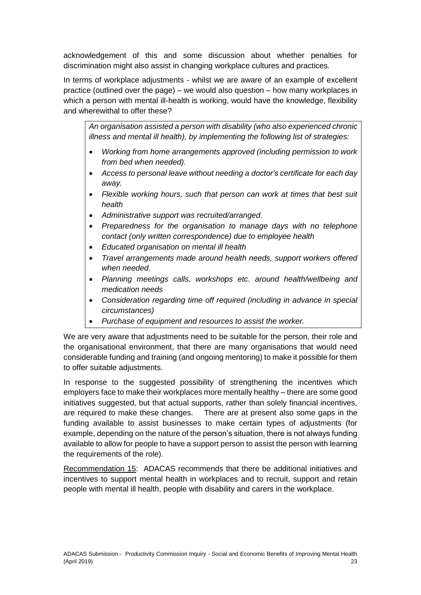acknowledgement of this and some discussion about whether penalties for discrimination might also assist in changing workplace cultures and practices.

In terms of workplace adjustments - whilst we are aware of an example of excellent practice (outlined over the page) – we would also question – how many workplaces in which a person with mental ill-health is working, would have the knowledge, flexibility and wherewithal to offer these?

*An organisation assisted a person with disability (who also experienced chronic illness and mental ill health), by implementing the following list of strategies:*

- *Working from home arrangements approved (including permission to work from bed when needed).*
- *Access to personal leave without needing a doctor's certificate for each day away.*
- *Flexible working hours, such that person can work at times that best suit health*
- *Administrative support was recruited/arranged.*
- *Preparedness for the organisation to manage days with no telephone contact (only written correspondence) due to employee health*
- *Educated organisation on mental ill health*
- *Travel arrangements made around health needs, support workers offered when needed.*
- *Planning meetings calls, workshops etc. around health/wellbeing and medication needs*
- *Consideration regarding time off required (including in advance in special circumstances)*
- *Purchase of equipment and resources to assist the worker.*

We are very aware that adjustments need to be suitable for the person, their role and the organisational environment, that there are many organisations that would need considerable funding and training (and ongoing mentoring) to make it possible for them to offer suitable adjustments.

In response to the suggested possibility of strengthening the incentives which employers face to make their workplaces more mentally healthy – there are some good initiatives suggested, but that actual supports, rather than solely financial incentives, are required to make these changes. There are at present also some gaps in the funding available to assist businesses to make certain types of adjustments (for example, depending on the nature of the person's situation, there is not always funding available to allow for people to have a support person to assist the person with learning the requirements of the role).

Recommendation 15: ADACAS recommends that there be additional initiatives and incentives to support mental health in workplaces and to recruit, support and retain people with mental ill health, people with disability and carers in the workplace.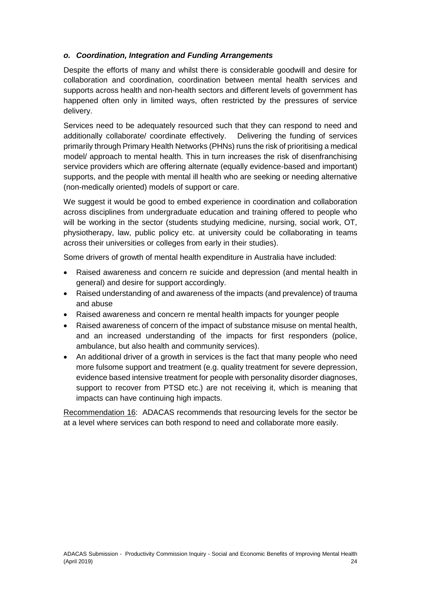### <span id="page-23-0"></span>*o. Coordination, Integration and Funding Arrangements*

Despite the efforts of many and whilst there is considerable goodwill and desire for collaboration and coordination, coordination between mental health services and supports across health and non-health sectors and different levels of government has happened often only in limited ways, often restricted by the pressures of service delivery.

Services need to be adequately resourced such that they can respond to need and additionally collaborate/ coordinate effectively. Delivering the funding of services primarily through Primary Health Networks (PHNs) runs the risk of prioritising a medical model/ approach to mental health. This in turn increases the risk of disenfranchising service providers which are offering alternate (equally evidence-based and important) supports, and the people with mental ill health who are seeking or needing alternative (non-medically oriented) models of support or care.

We suggest it would be good to embed experience in coordination and collaboration across disciplines from undergraduate education and training offered to people who will be working in the sector (students studying medicine, nursing, social work, OT, physiotherapy, law, public policy etc. at university could be collaborating in teams across their universities or colleges from early in their studies).

Some drivers of growth of mental health expenditure in Australia have included:

- Raised awareness and concern re suicide and depression (and mental health in general) and desire for support accordingly.
- Raised understanding of and awareness of the impacts (and prevalence) of trauma and abuse
- Raised awareness and concern re mental health impacts for younger people
- Raised awareness of concern of the impact of substance misuse on mental health, and an increased understanding of the impacts for first responders (police, ambulance, but also health and community services).
- An additional driver of a growth in services is the fact that many people who need more fulsome support and treatment (e.g. quality treatment for severe depression, evidence based intensive treatment for people with personality disorder diagnoses, support to recover from PTSD etc.) are not receiving it, which is meaning that impacts can have continuing high impacts.

Recommendation 16: ADACAS recommends that resourcing levels for the sector be at a level where services can both respond to need and collaborate more easily.